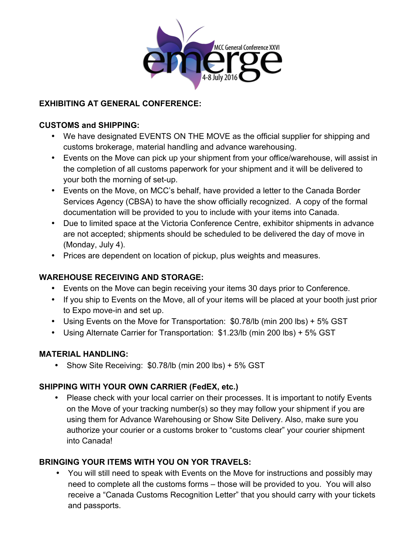

# **EXHIBITING AT GENERAL CONFERENCE:**

### **CUSTOMS and SHIPPING:**

- We have designated EVENTS ON THE MOVE as the official supplier for shipping and customs brokerage, material handling and advance warehousing.
- Events on the Move can pick up your shipment from your office/warehouse, will assist in the completion of all customs paperwork for your shipment and it will be delivered to your both the morning of set-up.
- Events on the Move, on MCC's behalf, have provided a letter to the Canada Border Services Agency (CBSA) to have the show officially recognized. A copy of the formal documentation will be provided to you to include with your items into Canada.
- Due to limited space at the Victoria Conference Centre, exhibitor shipments in advance are not accepted; shipments should be scheduled to be delivered the day of move in (Monday, July 4).
- Prices are dependent on location of pickup, plus weights and measures.

# **WAREHOUSE RECEIVING AND STORAGE:**

- Events on the Move can begin receiving your items 30 days prior to Conference.
- If you ship to Events on the Move, all of your items will be placed at your booth just prior to Expo move-in and set up.
- Using Events on the Move for Transportation: \$0.78/lb (min 200 lbs) + 5% GST
- Using Alternate Carrier for Transportation: \$1.23/lb (min 200 lbs) + 5% GST

# **MATERIAL HANDLING:**

• Show Site Receiving: \$0.78/lb (min 200 lbs) + 5% GST

# **SHIPPING WITH YOUR OWN CARRIER (FedEX, etc.)**

• Please check with your local carrier on their processes. It is important to notify Events on the Move of your tracking number(s) so they may follow your shipment if you are using them for Advance Warehousing or Show Site Delivery. Also, make sure you authorize your courier or a customs broker to "customs clear" your courier shipment into Canada!

# **BRINGING YOUR ITEMS WITH YOU ON YOR TRAVELS:**

• You will still need to speak with Events on the Move for instructions and possibly may need to complete all the customs forms – those will be provided to you. You will also receive a "Canada Customs Recognition Letter" that you should carry with your tickets and passports.